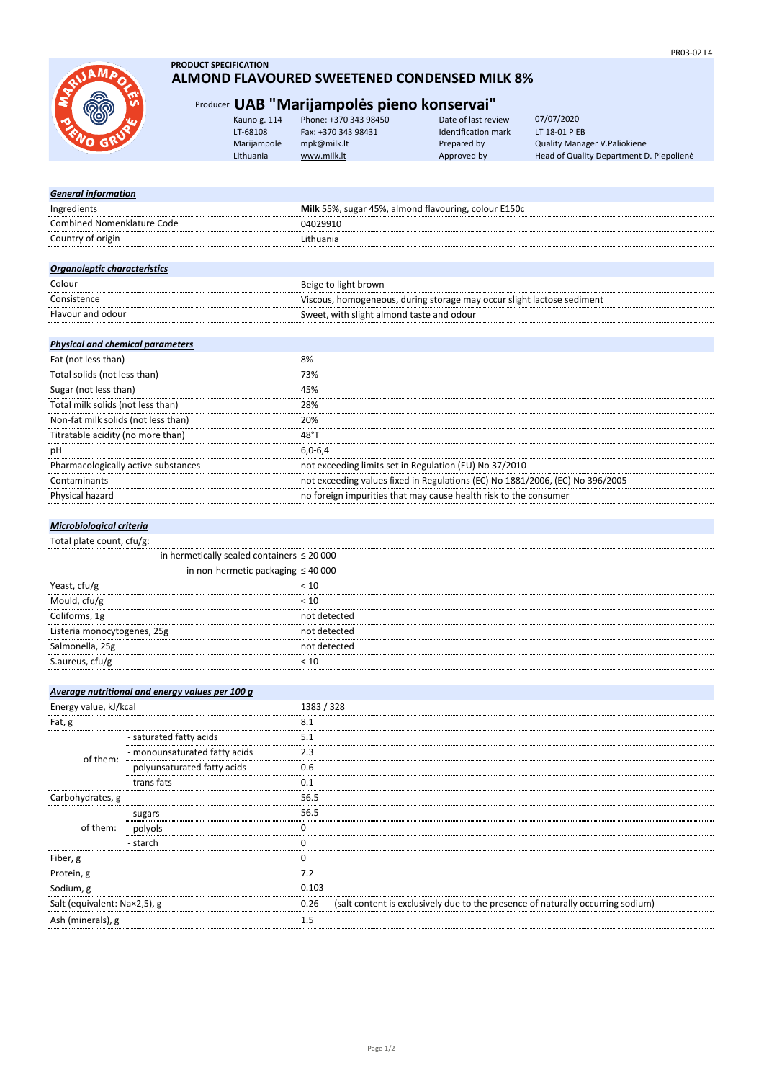

## **PRODUCT SPECIFICATION ALMOND FLAVOURED SWEETENED CONDENSED MILK 8%**

# Producer **UAB "Marijampolės pieno konservai"**

| Kauno g. 114 | Phone: +370 343 98450 | Date of last review        | 07/07/2020                               |
|--------------|-----------------------|----------------------------|------------------------------------------|
| LT-68108     | Fax: +370 343 98431   | <b>Identification mark</b> | LT 18-01 P EB                            |
| Marijampolė  | mpk@milk.lt           | Prepared by                | Quality Manager V. Paliokienė            |
| Lithuania    | www.milk.lt           | Approved by                | Head of Quality Department D. Piepoliene |
|              |                       |                            |                                          |

# *General information* Ingredients<br>
Ingredients<br>
Combined Nomenklature Code<br>
O4029910<br>
O4029910 Combined Nomenklature Code 04029910 Country of origin **Lithuania** *Organoleptic characteristics* Colour Beige to light brown Consistence Viscous, homogeneous, during storage may occur slight lactose sediment Flavour and odour Sweet, with slight almond taste and odour

# *Physical and chemical parameters*

| Fat (not less than)                 | 8%                                                                            |
|-------------------------------------|-------------------------------------------------------------------------------|
| Total solids (not less than)        | 73%                                                                           |
| Sugar (not less than)               | 45%                                                                           |
| Total milk solids (not less than)   | 28%                                                                           |
| Non-fat milk solids (not less than) | 20%                                                                           |
| Titratable acidity (no more than)   | 48°1                                                                          |
| рH                                  | $6.0 - 6.4$                                                                   |
| Pharmacologically active substances | not exceeding limits set in Regulation (EU) No 37/2010                        |
| Contaminants                        | not exceeding values fixed in Regulations (EC) No 1881/2006, (EC) No 396/2005 |
| Physical hazard                     | no foreign impurities that may cause health risk to the consumer              |
|                                     |                                                                               |

#### *Microbiological criteria*

Total plate count, cfu/g:

|                             | in hermetically sealed containers $\leq 20000$ |  |
|-----------------------------|------------------------------------------------|--|
|                             | in non-hermetic packaging $\leq 40000$         |  |
| Yeast, cfu/g                | < 10                                           |  |
| Mould, cfu/g                | < 10                                           |  |
| Coliforms, 1g               | not detected                                   |  |
| Listeria monocytogenes, 25g | not detected                                   |  |
| Salmonella, 25g             | not detected                                   |  |
| S.aureus, cfu/g             |                                                |  |
|                             |                                                |  |

|                              | Average nutritional and energy values per 100 g |            |                                                                                 |
|------------------------------|-------------------------------------------------|------------|---------------------------------------------------------------------------------|
| Energy value, kJ/kcal        |                                                 | 1383 / 328 |                                                                                 |
| Fat, g                       |                                                 | 8.1        |                                                                                 |
| of them:                     | - saturated fatty acids                         | 5.1        |                                                                                 |
|                              | - monounsaturated fatty acids                   | 2.3        |                                                                                 |
|                              | - polyunsaturated fatty acids                   | 0.6        |                                                                                 |
|                              | - trans fats                                    | 0.1        |                                                                                 |
| Carbohydrates, g             |                                                 | 56.5       |                                                                                 |
| of them: - polyols           | - sugars                                        | 56.5       |                                                                                 |
|                              |                                                 |            |                                                                                 |
|                              | - starch                                        |            |                                                                                 |
| Fiber, g                     |                                                 |            |                                                                                 |
| Protein, g                   |                                                 | 7.2        |                                                                                 |
| Sodium, g                    |                                                 | 0.103      |                                                                                 |
| Salt (equivalent: Na×2,5), g |                                                 | 0.26       | (salt content is exclusively due to the presence of naturally occurring sodium) |
| Ash (minerals), g            |                                                 | 1.5        |                                                                                 |